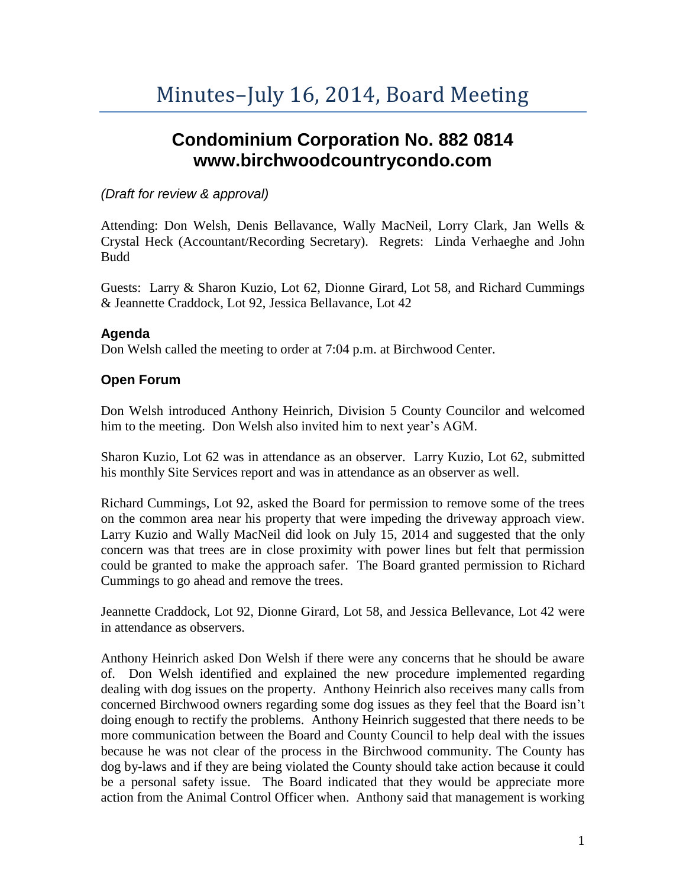# **Condominium Corporation No. 882 0814 www.birchwoodcountrycondo.com**

## *(Draft for review & approval)*

Attending: Don Welsh, Denis Bellavance, Wally MacNeil, Lorry Clark, Jan Wells & Crystal Heck (Accountant/Recording Secretary). Regrets: Linda Verhaeghe and John Budd

Guests: Larry & Sharon Kuzio, Lot 62, Dionne Girard, Lot 58, and Richard Cummings & Jeannette Craddock, Lot 92, Jessica Bellavance, Lot 42

## **Agenda**

Don Welsh called the meeting to order at 7:04 p.m. at Birchwood Center.

## **Open Forum**

Don Welsh introduced Anthony Heinrich, Division 5 County Councilor and welcomed him to the meeting. Don Welsh also invited him to next year's AGM.

Sharon Kuzio, Lot 62 was in attendance as an observer. Larry Kuzio, Lot 62, submitted his monthly Site Services report and was in attendance as an observer as well.

Richard Cummings, Lot 92, asked the Board for permission to remove some of the trees on the common area near his property that were impeding the driveway approach view. Larry Kuzio and Wally MacNeil did look on July 15, 2014 and suggested that the only concern was that trees are in close proximity with power lines but felt that permission could be granted to make the approach safer. The Board granted permission to Richard Cummings to go ahead and remove the trees.

Jeannette Craddock, Lot 92, Dionne Girard, Lot 58, and Jessica Bellevance, Lot 42 were in attendance as observers.

Anthony Heinrich asked Don Welsh if there were any concerns that he should be aware of. Don Welsh identified and explained the new procedure implemented regarding dealing with dog issues on the property. Anthony Heinrich also receives many calls from concerned Birchwood owners regarding some dog issues as they feel that the Board isn't doing enough to rectify the problems. Anthony Heinrich suggested that there needs to be more communication between the Board and County Council to help deal with the issues because he was not clear of the process in the Birchwood community. The County has dog by-laws and if they are being violated the County should take action because it could be a personal safety issue. The Board indicated that they would be appreciate more action from the Animal Control Officer when. Anthony said that management is working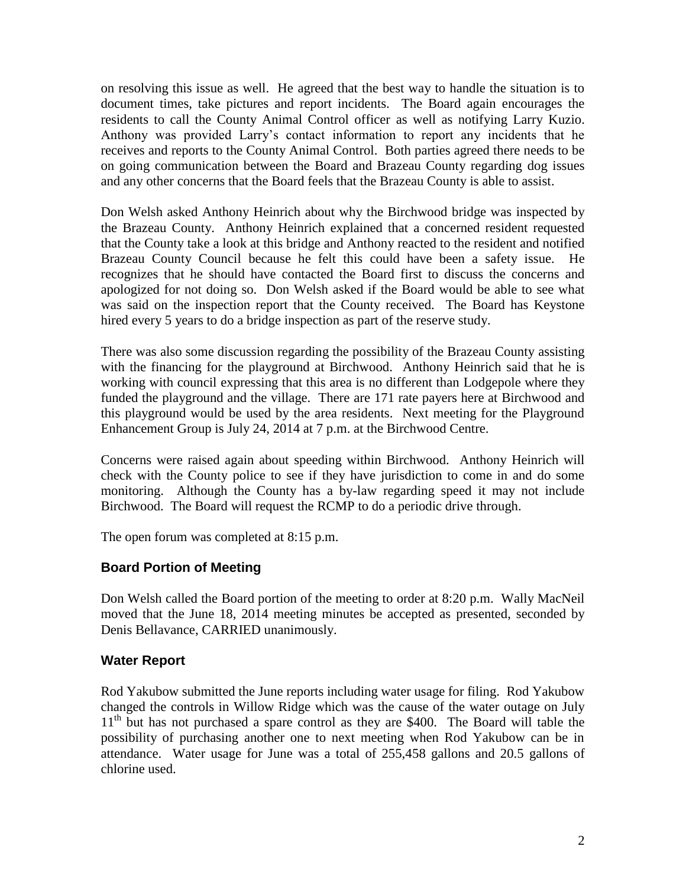on resolving this issue as well. He agreed that the best way to handle the situation is to document times, take pictures and report incidents. The Board again encourages the residents to call the County Animal Control officer as well as notifying Larry Kuzio. Anthony was provided Larry's contact information to report any incidents that he receives and reports to the County Animal Control. Both parties agreed there needs to be on going communication between the Board and Brazeau County regarding dog issues and any other concerns that the Board feels that the Brazeau County is able to assist.

Don Welsh asked Anthony Heinrich about why the Birchwood bridge was inspected by the Brazeau County. Anthony Heinrich explained that a concerned resident requested that the County take a look at this bridge and Anthony reacted to the resident and notified Brazeau County Council because he felt this could have been a safety issue. He recognizes that he should have contacted the Board first to discuss the concerns and apologized for not doing so. Don Welsh asked if the Board would be able to see what was said on the inspection report that the County received. The Board has Keystone hired every 5 years to do a bridge inspection as part of the reserve study.

There was also some discussion regarding the possibility of the Brazeau County assisting with the financing for the playground at Birchwood. Anthony Heinrich said that he is working with council expressing that this area is no different than Lodgepole where they funded the playground and the village. There are 171 rate payers here at Birchwood and this playground would be used by the area residents. Next meeting for the Playground Enhancement Group is July 24, 2014 at 7 p.m. at the Birchwood Centre.

Concerns were raised again about speeding within Birchwood. Anthony Heinrich will check with the County police to see if they have jurisdiction to come in and do some monitoring. Although the County has a by-law regarding speed it may not include Birchwood. The Board will request the RCMP to do a periodic drive through.

The open forum was completed at 8:15 p.m.

## **Board Portion of Meeting**

Don Welsh called the Board portion of the meeting to order at 8:20 p.m. Wally MacNeil moved that the June 18, 2014 meeting minutes be accepted as presented, seconded by Denis Bellavance, CARRIED unanimously.

## **Water Report**

Rod Yakubow submitted the June reports including water usage for filing. Rod Yakubow changed the controls in Willow Ridge which was the cause of the water outage on July 11<sup>th</sup> but has not purchased a spare control as they are \$400. The Board will table the possibility of purchasing another one to next meeting when Rod Yakubow can be in attendance. Water usage for June was a total of 255,458 gallons and 20.5 gallons of chlorine used.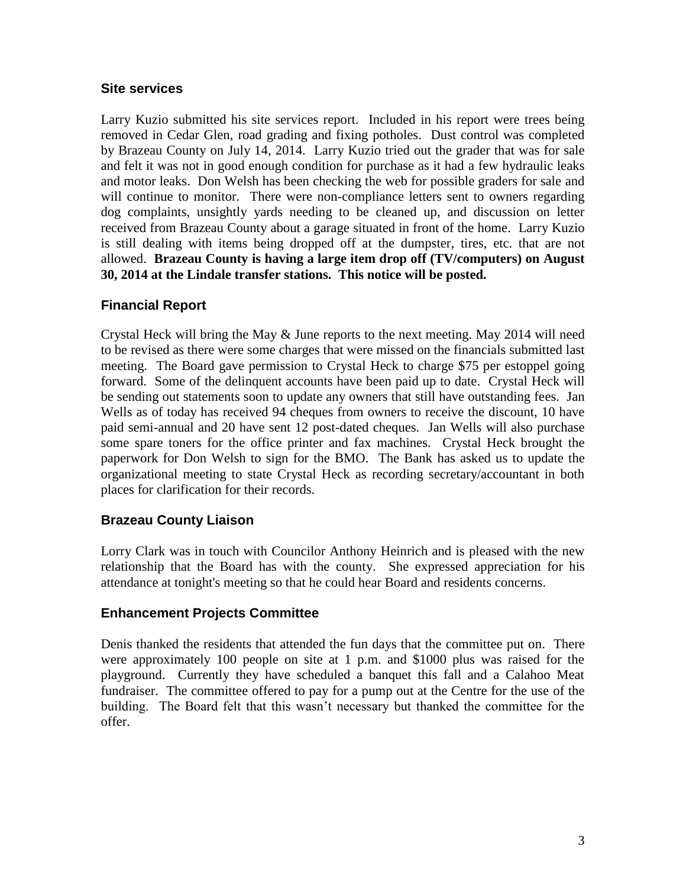## **Site services**

Larry Kuzio submitted his site services report. Included in his report were trees being removed in Cedar Glen, road grading and fixing potholes. Dust control was completed by Brazeau County on July 14, 2014. Larry Kuzio tried out the grader that was for sale and felt it was not in good enough condition for purchase as it had a few hydraulic leaks and motor leaks. Don Welsh has been checking the web for possible graders for sale and will continue to monitor. There were non-compliance letters sent to owners regarding dog complaints, unsightly yards needing to be cleaned up, and discussion on letter received from Brazeau County about a garage situated in front of the home. Larry Kuzio is still dealing with items being dropped off at the dumpster, tires, etc. that are not allowed. **Brazeau County is having a large item drop off (TV/computers) on August 30, 2014 at the Lindale transfer stations. This notice will be posted.**

## **Financial Report**

Crystal Heck will bring the May & June reports to the next meeting. May 2014 will need to be revised as there were some charges that were missed on the financials submitted last meeting. The Board gave permission to Crystal Heck to charge \$75 per estoppel going forward. Some of the delinquent accounts have been paid up to date. Crystal Heck will be sending out statements soon to update any owners that still have outstanding fees. Jan Wells as of today has received 94 cheques from owners to receive the discount, 10 have paid semi-annual and 20 have sent 12 post-dated cheques. Jan Wells will also purchase some spare toners for the office printer and fax machines. Crystal Heck brought the paperwork for Don Welsh to sign for the BMO. The Bank has asked us to update the organizational meeting to state Crystal Heck as recording secretary/accountant in both places for clarification for their records.

## **Brazeau County Liaison**

Lorry Clark was in touch with Councilor Anthony Heinrich and is pleased with the new relationship that the Board has with the county. She expressed appreciation for his attendance at tonight's meeting so that he could hear Board and residents concerns.

## **Enhancement Projects Committee**

Denis thanked the residents that attended the fun days that the committee put on. There were approximately 100 people on site at 1 p.m. and \$1000 plus was raised for the playground. Currently they have scheduled a banquet this fall and a Calahoo Meat fundraiser. The committee offered to pay for a pump out at the Centre for the use of the building. The Board felt that this wasn't necessary but thanked the committee for the offer.